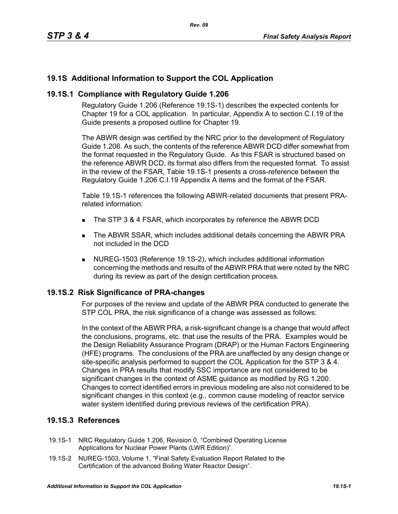# **19.1S Additional Information to Support the COL Application**

### **19.1S.1 Compliance with Regulatory Guide 1.206**

Regulatory Guide 1.206 (Reference 19.1S-1) describes the expected contents for Chapter 19 for a COL application. In particular, Appendix A to section C.I.19 of the Guide presents a proposed outline for Chapter 19.

The ABWR design was certified by the NRC prior to the development of Regulatory Guide 1.206. As such, the contents of the reference ABWR DCD differ somewhat from the format requested in the Regulatory Guide. As this FSAR is structured based on the reference ABWR DCD, its format also differs from the requested format. To assist in the review of the FSAR, Table 19.1S-1 presents a cross-reference between the Regulatory Guide 1.206 C.I.19 Appendix A items and the format of the FSAR.

Table 19.1S-1 references the following ABWR-related documents that present PRArelated information:

- The STP 3 & 4 FSAR, which incorporates by reference the ABWR DCD
- The ABWR SSAR, which includes additional details concerning the ABWR PRA not included in the DCD
- NUREG-1503 (Reference 19.1S-2), which includes additional information concerning the methods and results of the ABWR PRA that were noted by the NRC during its review as part of the design certification process.

### **19.1S.2 Risk Significance of PRA-changes**

For purposes of the review and update of the ABWR PRA conducted to generate the STP COL PRA, the risk significance of a change was assessed as follows:

In the context of the ABWR PRA, a risk-significant change is a change that would affect the conclusions, programs, etc. that use the results of the PRA. Examples would be the Design Reliability Assurance Program (DRAP) or the Human Factors Engineering (HFE) programs. The conclusions of the PRA are unaffected by any design change or site-specific analysis performed to support the COL Application for the STP 3 & 4. Changes in PRA results that modify SSC importance are not considered to be significant changes in the context of ASME guidance as modified by RG 1.200. Changes to correct identified errors in previous modeling are also not considered to be significant changes in this context (e.g., common cause modeling of reactor service water system identified during previous reviews of the certification PRA).

## **19.1S.3 References**

- 19.1S-1 NRC Regulatory Guide 1.206, Revision 0, "Combined Operating License Applications for Nuclear Power Plants (LWR Edition)".
- 19.1S-2 NUREG-1503, Volume 1, "Final Safety Evaluation Report Related to the Certification of the advanced Boiling Water Reactor Design".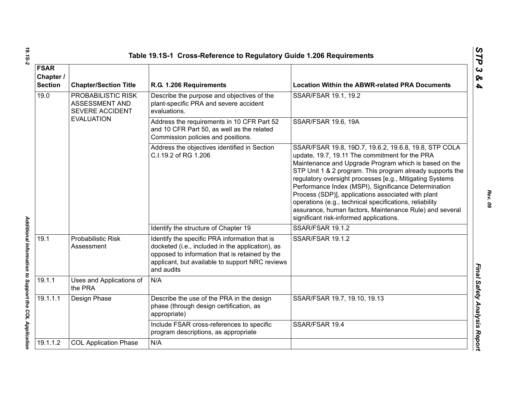|                                                                 |                                                         | Table 19.1S-1 Cross-Reference to Regulatory Guide 1.206 Requirements                                                                                                                                                 |                                                                                                                                                                                                                                                                                                                                                                                                                                                                                                                                                                          |  |
|-----------------------------------------------------------------|---------------------------------------------------------|----------------------------------------------------------------------------------------------------------------------------------------------------------------------------------------------------------------------|--------------------------------------------------------------------------------------------------------------------------------------------------------------------------------------------------------------------------------------------------------------------------------------------------------------------------------------------------------------------------------------------------------------------------------------------------------------------------------------------------------------------------------------------------------------------------|--|
| <b>FSAR</b><br>Chapter /<br><b>Section</b>                      | <b>Chapter/Section Title</b><br>R.G. 1.206 Requirements |                                                                                                                                                                                                                      | <b>Location Within the ABWR-related PRA Documents</b>                                                                                                                                                                                                                                                                                                                                                                                                                                                                                                                    |  |
| 19.0<br>PROBABILISTIC RISK<br>ASSESSMENT AND<br>SEVERE ACCIDENT |                                                         | Describe the purpose and objectives of the<br>plant-specific PRA and severe accident<br>evaluations.                                                                                                                 | SSAR/FSAR 19.1, 19.2                                                                                                                                                                                                                                                                                                                                                                                                                                                                                                                                                     |  |
|                                                                 | <b>EVALUATION</b>                                       | Address the requirements in 10 CFR Part 52<br>and 10 CFR Part 50, as well as the related<br>Commission policies and positions.                                                                                       | <b>SSAR/FSAR 19.6, 19A</b>                                                                                                                                                                                                                                                                                                                                                                                                                                                                                                                                               |  |
|                                                                 |                                                         | Address the objectives identified in Section<br>C.I.19.2 of RG 1.206                                                                                                                                                 | SSAR/FSAR 19.8, 19D.7, 19.6.2, 19.6.8, 19.8, STP COLA<br>update, 19.7, 19.11 The commitment for the PRA<br>Maintenance and Upgrade Program which is based on the<br>STP Unit 1 & 2 program. This program already supports the<br>regulatory oversight processes [e.g., Mitigating Systems<br>Performance Index (MSPI), Significance Determination<br>Process (SDP)], applications associated with plant<br>operations (e.g., technical specifications, reliability<br>assurance, human factors, Maintenance Rule) and several<br>significant risk-informed applications. |  |
|                                                                 |                                                         | Identify the structure of Chapter 19                                                                                                                                                                                 | SSAR/FSAR 19.1.2                                                                                                                                                                                                                                                                                                                                                                                                                                                                                                                                                         |  |
| 19.1                                                            | <b>Probabilistic Risk</b><br>Assessment                 | Identify the specific PRA information that is<br>docketed (i.e., included in the application), as<br>opposed to information that is retained by the<br>applicant, but available to support NRC reviews<br>and audits | SSAR/FSAR 19.1.2                                                                                                                                                                                                                                                                                                                                                                                                                                                                                                                                                         |  |
| 19.1.1                                                          | Uses and Applications of<br>the PRA                     | N/A                                                                                                                                                                                                                  |                                                                                                                                                                                                                                                                                                                                                                                                                                                                                                                                                                          |  |
| 19.1.1.1                                                        | Design Phase                                            | Describe the use of the PRA in the design<br>phase (through design certification, as<br>appropriate)                                                                                                                 | SSAR/FSAR 19.7, 19.10, 19.13                                                                                                                                                                                                                                                                                                                                                                                                                                                                                                                                             |  |
|                                                                 |                                                         | Include FSAR cross-references to specific<br>program descriptions, as appropriate                                                                                                                                    | SSAR/FSAR 19.4                                                                                                                                                                                                                                                                                                                                                                                                                                                                                                                                                           |  |
| 19.1.1.2                                                        | <b>COL Application Phase</b>                            | N/A                                                                                                                                                                                                                  |                                                                                                                                                                                                                                                                                                                                                                                                                                                                                                                                                                          |  |
|                                                                 |                                                         |                                                                                                                                                                                                                      |                                                                                                                                                                                                                                                                                                                                                                                                                                                                                                                                                                          |  |

*Rev. 09*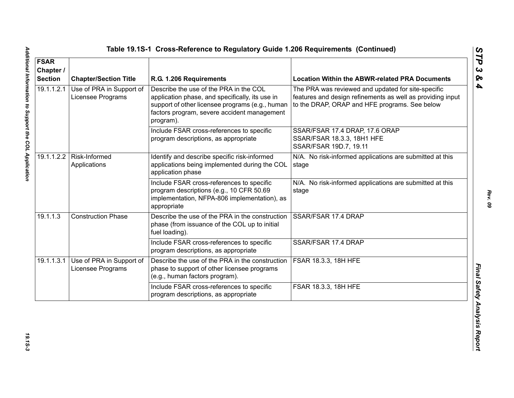| <b>FSAR</b><br>Chapter /<br><b>Section</b> | <b>Chapter/Section Title</b>                  | R.G. 1.206 Requirements                                                                                                                                                                                  | <b>Location Within the ABWR-related PRA Documents</b>                                                                                                             |
|--------------------------------------------|-----------------------------------------------|----------------------------------------------------------------------------------------------------------------------------------------------------------------------------------------------------------|-------------------------------------------------------------------------------------------------------------------------------------------------------------------|
| 19.1.1.2.1                                 | Use of PRA in Support of<br>Licensee Programs | Describe the use of the PRA in the COL<br>application phase, and specifically, its use in<br>support of other licensee programs (e.g., human<br>factors program, severe accident management<br>program). | The PRA was reviewed and updated for site-specific<br>features and design refinements as well as providing input<br>to the DRAP, ORAP and HFE programs. See below |
|                                            |                                               | Include FSAR cross-references to specific<br>program descriptions, as appropriate                                                                                                                        | SSAR/FSAR 17.4 DRAP, 17.6 ORAP<br>SSAR/FSAR 18.3.3, 18H1 HFE<br>SSAR/FSAR 19D.7, 19.11                                                                            |
|                                            | 19.1.1.2.2   Risk-Informed<br>Applications    | Identify and describe specific risk-informed<br>applications being implemented during the COL<br>application phase                                                                                       | N/A. No risk-informed applications are submitted at this<br>stage                                                                                                 |
|                                            |                                               | Include FSAR cross-references to specific<br>program descriptions (e.g., 10 CFR 50.69<br>implementation, NFPA-806 implementation), as<br>appropriate                                                     | N/A. No risk-informed applications are submitted at this<br>stage                                                                                                 |
| 19.1.1.3                                   | <b>Construction Phase</b>                     | Describe the use of the PRA in the construction<br>phase (from issuance of the COL up to initial<br>fuel loading).                                                                                       | SSAR/FSAR 17.4 DRAP                                                                                                                                               |
|                                            |                                               | Include FSAR cross-references to specific<br>program descriptions, as appropriate                                                                                                                        | SSAR/FSAR 17.4 DRAP                                                                                                                                               |
| 19.1.1.3.1                                 | Use of PRA in Support of<br>Licensee Programs | Describe the use of the PRA in the construction<br>phase to support of other licensee programs<br>(e.g., human factors program).                                                                         | <b>FSAR 18.3.3, 18H HFE</b>                                                                                                                                       |
|                                            |                                               | Include FSAR cross-references to specific<br>program descriptions, as appropriate                                                                                                                        | FSAR 18.3.3, 18H HFE                                                                                                                                              |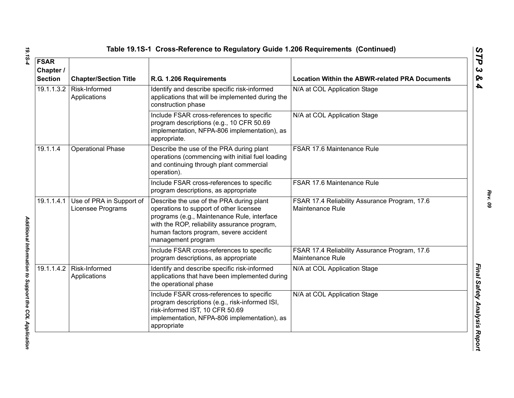| <b>FSAR</b><br>Chapter /<br><b>Section</b> | <b>Chapter/Section Title</b>                  | R.G. 1.206 Requirements                                                                                                                                                                                                                            | <b>Location Within the ABWR-related PRA Documents</b>             |
|--------------------------------------------|-----------------------------------------------|----------------------------------------------------------------------------------------------------------------------------------------------------------------------------------------------------------------------------------------------------|-------------------------------------------------------------------|
| 19.1.1.3.2                                 | Risk-Informed<br>Applications                 | Identify and describe specific risk-informed<br>applications that will be implemented during the<br>construction phase                                                                                                                             | N/A at COL Application Stage                                      |
|                                            |                                               | Include FSAR cross-references to specific<br>program descriptions (e.g., 10 CFR 50.69<br>implementation, NFPA-806 implementation), as<br>appropriate.                                                                                              | N/A at COL Application Stage                                      |
| 19.1.1.4                                   | <b>Operational Phase</b>                      | Describe the use of the PRA during plant<br>operations (commencing with initial fuel loading<br>and continuing through plant commercial<br>operation).                                                                                             | FSAR 17.6 Maintenance Rule                                        |
|                                            |                                               | Include FSAR cross-references to specific<br>program descriptions, as appropriate                                                                                                                                                                  | FSAR 17.6 Maintenance Rule                                        |
| 19.1.1.4.1                                 | Use of PRA in Support of<br>Licensee Programs | Describe the use of the PRA during plant<br>operations to support of other licensee<br>programs (e.g., Maintenance Rule, interface<br>with the ROP, reliability assurance program,<br>human factors program, severe accident<br>management program | FSAR 17.4 Reliability Assurance Program, 17.6<br>Maintenance Rule |
|                                            |                                               | Include FSAR cross-references to specific<br>program descriptions, as appropriate                                                                                                                                                                  | FSAR 17.4 Reliability Assurance Program, 17.6<br>Maintenance Rule |
| 19.1.1.4.2                                 | Risk-Informed<br>Applications                 | Identify and describe specific risk-informed<br>applications that have been implemented during<br>the operational phase                                                                                                                            | N/A at COL Application Stage                                      |
|                                            |                                               | Include FSAR cross-references to specific<br>program descriptions (e.g., risk-informed ISI,<br>risk-informed IST, 10 CFR 50.69<br>implementation, NFPA-806 implementation), as<br>appropriate                                                      | N/A at COL Application Stage                                      |

19.15-4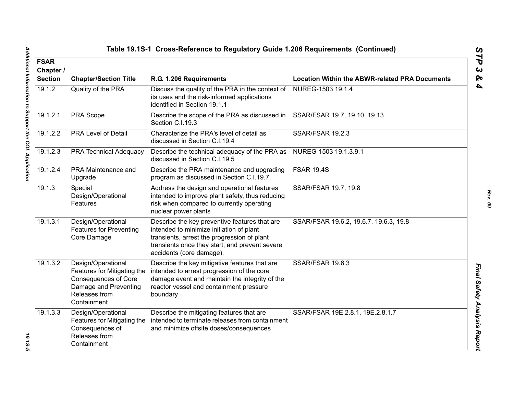| Table 19.1S-1 Cross-Reference to Regulatory Guide 1.206 Requirements (Continued) |                                                                                                                                           |                                                                                                                                                                                                                        |                                                       |  |
|----------------------------------------------------------------------------------|-------------------------------------------------------------------------------------------------------------------------------------------|------------------------------------------------------------------------------------------------------------------------------------------------------------------------------------------------------------------------|-------------------------------------------------------|--|
| <b>FSAR</b><br>Chapter /<br><b>Section</b>                                       | <b>Chapter/Section Title</b><br>R.G. 1.206 Requirements                                                                                   |                                                                                                                                                                                                                        | <b>Location Within the ABWR-related PRA Documents</b> |  |
| 19.1.2                                                                           | Quality of the PRA                                                                                                                        | Discuss the quality of the PRA in the context of<br>its uses and the risk-informed applications<br>identified in Section 19.1.1                                                                                        | NUREG-1503 19.1.4                                     |  |
| 19.1.2.1                                                                         | PRA Scope                                                                                                                                 | Describe the scope of the PRA as discussed in<br>Section C.I.19.3                                                                                                                                                      | SSAR/FSAR 19.7, 19.10, 19.13                          |  |
| 19.1.2.2                                                                         | <b>PRA Level of Detail</b>                                                                                                                | Characterize the PRA's level of detail as<br>discussed in Section C.I.19.4                                                                                                                                             | <b>SSAR/FSAR 19.2.3</b>                               |  |
| 19.1.2.3                                                                         | <b>PRA Technical Adequacy</b>                                                                                                             | Describe the technical adequacy of the PRA as<br>discussed in Section C.I.19.5                                                                                                                                         | NUREG-1503 19.1.3.9.1                                 |  |
| 19.1.2.4                                                                         | PRA Maintenance and<br>Upgrade                                                                                                            | Describe the PRA maintenance and upgrading<br>program as discussed in Section C.I.19.7.                                                                                                                                | <b>FSAR 19.4S</b>                                     |  |
| 19.1.3                                                                           | Special<br>Design/Operational<br>Features                                                                                                 | Address the design and operational features<br>intended to improve plant safety, thus reducing<br>risk when compared to currently operating<br>nuclear power plants                                                    | SSAR/FSAR 19.7, 19.8                                  |  |
| 19.1.3.1                                                                         | Design/Operational<br><b>Features for Preventing</b><br>Core Damage                                                                       | Describe the key preventive features that are<br>intended to minimize initiation of plant<br>transients, arrest the progression of plant<br>transients once they start, and prevent severe<br>accidents (core damage). | SSAR/FSAR 19.6.2, 19.6.7, 19.6.3, 19.8                |  |
| 19.1.3.2                                                                         | Design/Operational<br>Features for Mitigating the<br><b>Consequences of Core</b><br>Damage and Preventing<br>Releases from<br>Containment | Describe the key mitigative features that are<br>intended to arrest progression of the core<br>damage event and maintain the integrity of the<br>reactor vessel and containment pressure<br>boundary                   | SSAR/FSAR 19.6.3                                      |  |
| 19.1.3.3                                                                         | Design/Operational<br>Features for Mitigating the<br>Consequences of<br>Releases from<br>Containment                                      | Describe the mitigating features that are<br>intended to terminate releases from containment<br>and minimize offsite doses/consequences                                                                                | SSAR/FSAR 19E.2.8.1, 19E.2.8.1.7                      |  |

*STP 3 & 4*

19.15-5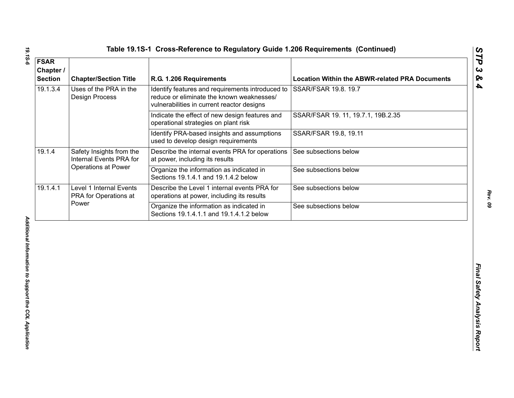| 19.1.3.4<br>Uses of the PRA in the<br>Identify features and requirements introduced to<br>SSAR/FSAR 19.8. 19.7<br>reduce or eliminate the known weaknesses/<br><b>Design Process</b><br>vulnerabilities in current reactor designs<br>SSAR/FSAR 19. 11, 19.7.1, 19B.2.35<br>Indicate the effect of new design features and<br>operational strategies on plant risk<br>Identify PRA-based insights and assumptions<br>SSAR/FSAR 19.8, 19.11<br>used to develop design requirements<br>19.1.4<br>Safety Insights from the<br>Describe the internal events PRA for operations<br>See subsections below<br>Internal Events PRA for<br>at power, including its results<br><b>Operations at Power</b><br>Organize the information as indicated in<br>See subsections below<br>Sections 19.1.4.1 and 19.1.4.2 below<br>19.1.4.1<br>Level 1 Internal Events<br>Describe the Level 1 internal events PRA for<br>See subsections below<br>PRA for Operations at<br>operations at power, including its results<br>Power<br>Organize the information as indicated in<br>See subsections below<br>Sections 19.1.4.1.1 and 19.1.4.1.2 below | <b>FSAR</b><br>Chapter /<br><b>Section</b> | <b>Chapter/Section Title</b> | R.G. 1.206 Requirements | <b>Location Within the ABWR-related PRA Documents</b> |
|-------------------------------------------------------------------------------------------------------------------------------------------------------------------------------------------------------------------------------------------------------------------------------------------------------------------------------------------------------------------------------------------------------------------------------------------------------------------------------------------------------------------------------------------------------------------------------------------------------------------------------------------------------------------------------------------------------------------------------------------------------------------------------------------------------------------------------------------------------------------------------------------------------------------------------------------------------------------------------------------------------------------------------------------------------------------------------------------------------------------------------|--------------------------------------------|------------------------------|-------------------------|-------------------------------------------------------|
|                                                                                                                                                                                                                                                                                                                                                                                                                                                                                                                                                                                                                                                                                                                                                                                                                                                                                                                                                                                                                                                                                                                               |                                            |                              |                         |                                                       |
|                                                                                                                                                                                                                                                                                                                                                                                                                                                                                                                                                                                                                                                                                                                                                                                                                                                                                                                                                                                                                                                                                                                               |                                            |                              |                         |                                                       |
|                                                                                                                                                                                                                                                                                                                                                                                                                                                                                                                                                                                                                                                                                                                                                                                                                                                                                                                                                                                                                                                                                                                               |                                            |                              |                         |                                                       |
|                                                                                                                                                                                                                                                                                                                                                                                                                                                                                                                                                                                                                                                                                                                                                                                                                                                                                                                                                                                                                                                                                                                               |                                            |                              |                         |                                                       |
|                                                                                                                                                                                                                                                                                                                                                                                                                                                                                                                                                                                                                                                                                                                                                                                                                                                                                                                                                                                                                                                                                                                               |                                            |                              |                         |                                                       |
|                                                                                                                                                                                                                                                                                                                                                                                                                                                                                                                                                                                                                                                                                                                                                                                                                                                                                                                                                                                                                                                                                                                               |                                            |                              |                         |                                                       |
|                                                                                                                                                                                                                                                                                                                                                                                                                                                                                                                                                                                                                                                                                                                                                                                                                                                                                                                                                                                                                                                                                                                               |                                            |                              |                         |                                                       |
|                                                                                                                                                                                                                                                                                                                                                                                                                                                                                                                                                                                                                                                                                                                                                                                                                                                                                                                                                                                                                                                                                                                               |                                            |                              |                         |                                                       |

19.15-6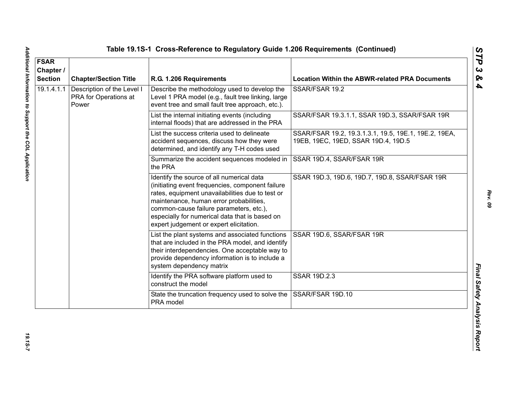| <b>FSAR</b><br>Chapter /<br><b>Section</b> | <b>Chapter/Section Title</b>                                 | R.G. 1.206 Requirements                                                                                                                                                                                                                                                                                                              | <b>Location Within the ABWR-related PRA Documents</b>                                        |
|--------------------------------------------|--------------------------------------------------------------|--------------------------------------------------------------------------------------------------------------------------------------------------------------------------------------------------------------------------------------------------------------------------------------------------------------------------------------|----------------------------------------------------------------------------------------------|
| 19.1.4.1.1                                 | Description of the Level I<br>PRA for Operations at<br>Power | Describe the methodology used to develop the<br>Level 1 PRA model (e.g., fault tree linking, large<br>event tree and small fault tree approach, etc.).                                                                                                                                                                               | SSAR/FSAR 19.2                                                                               |
|                                            |                                                              | List the internal initiating events (including<br>internal floods) that are addressed in the PRA                                                                                                                                                                                                                                     | SSAR/FSAR 19.3.1.1, SSAR 19D.3, SSAR/FSAR 19R                                                |
|                                            |                                                              | List the success criteria used to delineate<br>accident sequences, discuss how they were<br>determined, and identify any T-H codes used                                                                                                                                                                                              | SSAR/FSAR 19.2, 19.3.1.3.1, 19.5, 19E.1, 19E.2, 19EA,<br>19EB, 19EC, 19ED, SSAR 19D.4, 19D.5 |
|                                            |                                                              | Summarize the accident sequences modeled in<br>the PRA                                                                                                                                                                                                                                                                               | SSAR 19D.4, SSAR/FSAR 19R                                                                    |
|                                            |                                                              | Identify the source of all numerical data<br>(initiating event frequencies, component failure<br>rates, equipment unavailabilities due to test or<br>maintenance, human error probabilities,<br>common-cause failure parameters, etc.),<br>especially for numerical data that is based on<br>expert judgement or expert elicitation. | SSAR 19D.3, 19D.6, 19D.7, 19D.8, SSAR/FSAR 19R                                               |
|                                            |                                                              | List the plant systems and associated functions<br>that are included in the PRA model, and identify<br>their interdependencies. One acceptable way to<br>provide dependency information is to include a<br>system dependency matrix                                                                                                  | SSAR 19D.6, SSAR/FSAR 19R                                                                    |
|                                            |                                                              | Identify the PRA software platform used to<br>construct the model                                                                                                                                                                                                                                                                    | SSAR 19D.2.3                                                                                 |
|                                            |                                                              | State the truncation frequency used to solve the<br>PRA model                                                                                                                                                                                                                                                                        | SSAR/FSAR 19D.10                                                                             |

*STP 3 & 4*

19.15-7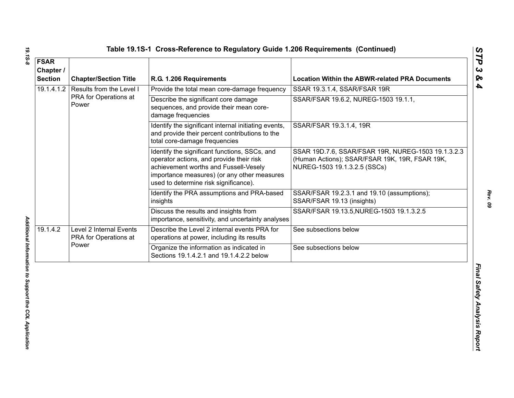| <b>FSAR</b><br>Chapter /<br><b>Section</b> | <b>Chapter/Section Title</b>                     | R.G. 1.206 Requirements                                                                                                                                                                                                    | <b>Location Within the ABWR-related PRA Documents</b>                                                                                |
|--------------------------------------------|--------------------------------------------------|----------------------------------------------------------------------------------------------------------------------------------------------------------------------------------------------------------------------------|--------------------------------------------------------------------------------------------------------------------------------------|
| 19.1.4.1.2                                 | Results from the Level I                         | Provide the total mean core-damage frequency                                                                                                                                                                               | SSAR 19.3.1.4, SSAR/FSAR 19R                                                                                                         |
|                                            | PRA for Operations at<br>Power                   | Describe the significant core damage<br>sequences, and provide their mean core-<br>damage frequencies                                                                                                                      | SSAR/FSAR 19.6.2, NUREG-1503 19.1.1,                                                                                                 |
|                                            |                                                  | Identify the significant internal initiating events,<br>and provide their percent contributions to the<br>total core-damage frequencies                                                                                    | SSAR/FSAR 19.3.1.4, 19R                                                                                                              |
|                                            |                                                  | Identify the significant functions, SSCs, and<br>operator actions, and provide their risk<br>achievement worths and Fussell-Vesely<br>importance measures) (or any other measures<br>used to determine risk significance). | SSAR 19D.7.6, SSAR/FSAR 19R, NUREG-1503 19.1.3.2.3<br>(Human Actions); SSAR/FSAR 19K, 19R, FSAR 19K,<br>NUREG-1503 19.1.3.2.5 (SSCs) |
|                                            |                                                  | Identify the PRA assumptions and PRA-based<br>insights                                                                                                                                                                     | SSAR/FSAR 19.2.3.1 and 19.10 (assumptions);<br>SSAR/FSAR 19.13 (insights)                                                            |
|                                            |                                                  | Discuss the results and insights from<br>importance, sensitivity, and uncertainty analyses                                                                                                                                 | SSAR/FSAR 19.13.5, NUREG-1503 19.1.3.2.5                                                                                             |
| 19.1.4.2                                   | Level 2 Internal Events<br>PRA for Operations at | Describe the Level 2 internal events PRA for<br>operations at power, including its results                                                                                                                                 | See subsections below                                                                                                                |
|                                            | Power                                            | Organize the information as indicated in<br>Sections 19.1.4.2.1 and 19.1.4.2.2 below                                                                                                                                       | See subsections below                                                                                                                |
|                                            |                                                  |                                                                                                                                                                                                                            |                                                                                                                                      |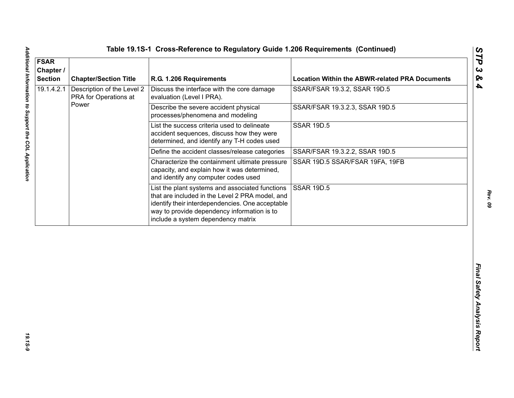| 19.1.4.2.1<br>Description of the Level 2<br>Discuss the interface with the core damage<br>PRA for Operations at<br>evaluation (Level I PRA).<br>Power<br>Describe the severe accident physical<br>processes/phenomena and modeling          | SSAR/FSAR 19.3.2, SSAR 19D.5<br>SSAR/FSAR 19.3.2.3, SSAR 19D.5 |
|---------------------------------------------------------------------------------------------------------------------------------------------------------------------------------------------------------------------------------------------|----------------------------------------------------------------|
|                                                                                                                                                                                                                                             |                                                                |
|                                                                                                                                                                                                                                             |                                                                |
| List the success criteria used to delineate<br>accident sequences, discuss how they were<br>determined, and identify any T-H codes used                                                                                                     | <b>SSAR 19D.5</b>                                              |
| Define the accident classes/release categories                                                                                                                                                                                              | SSAR/FSAR 19.3.2.2, SSAR 19D.5                                 |
| Characterize the containment ultimate pressure<br>capacity, and explain how it was determined,<br>and identify any computer codes used                                                                                                      | SSAR 19D.5 SSAR/FSAR 19FA, 19FB                                |
| List the plant systems and associated functions<br>that are included in the Level 2 PRA model, and<br>identify their interdependencies. One acceptable<br>way to provide dependency information is to<br>include a system dependency matrix | <b>SSAR 19D.5</b>                                              |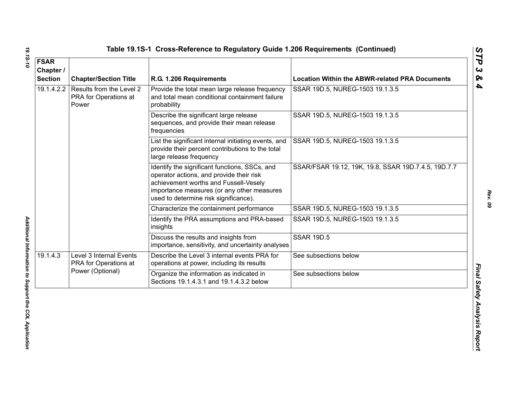| <b>FSAR</b><br>Chapter /<br><b>Section</b> | <b>Chapter/Section Title</b>                                         | R.G. 1.206 Requirements                                                                                                                                                                                                   | <b>Location Within the ABWR-related PRA Documents</b> |
|--------------------------------------------|----------------------------------------------------------------------|---------------------------------------------------------------------------------------------------------------------------------------------------------------------------------------------------------------------------|-------------------------------------------------------|
| 19.1.4.2.2                                 | Results from the Level 2<br>PRA for Operations at<br>Power           | Provide the total mean large release frequency<br>and total mean conditional containment failure<br>probability                                                                                                           | SSAR 19D.5, NUREG-1503 19.1.3.5                       |
|                                            |                                                                      | Describe the significant large release<br>sequences, and provide their mean release<br>frequencies                                                                                                                        | SSAR 19D.5, NUREG-1503 19.1.3.5                       |
|                                            |                                                                      | List the significant internal initiating events, and<br>provide their percent contributions to the total<br>large release frequency                                                                                       | SSAR 19D.5, NUREG-1503 19.1.3.5                       |
|                                            |                                                                      | Identify the significant functions, SSCs, and<br>operator actions, and provide their risk<br>achievement worths and Fussell-Vesely<br>importance measures (or any other measures<br>used to determine risk significance). | SSAR/FSAR 19.12, 19K, 19.8, SSAR 19D.7.4.5, 19D.7.7   |
|                                            |                                                                      | Characterize the containment performance                                                                                                                                                                                  | SSAR 19D.5, NUREG-1503 19.1.3.5                       |
|                                            |                                                                      | Identify the PRA assumptions and PRA-based<br>insights                                                                                                                                                                    | SSAR 19D.5, NUREG-1503 19.1.3.5                       |
|                                            |                                                                      | Discuss the results and insights from<br>importance, sensitivity, and uncertainty analyses                                                                                                                                | <b>SSAR 19D.5</b>                                     |
| 19.1.4.3                                   | Level 3 Internal Events<br>PRA for Operations at<br>Power (Optional) | Describe the Level 3 internal events PRA for<br>operations at power, including its results                                                                                                                                | See subsections below                                 |
|                                            |                                                                      | Organize the information as indicated in<br>Sections 19.1.4.3.1 and 19.1.4.3.2 below                                                                                                                                      | See subsections below                                 |

*19.1S-10 Additional Information to Support the COL Application*  Additional Information to Support the COL Application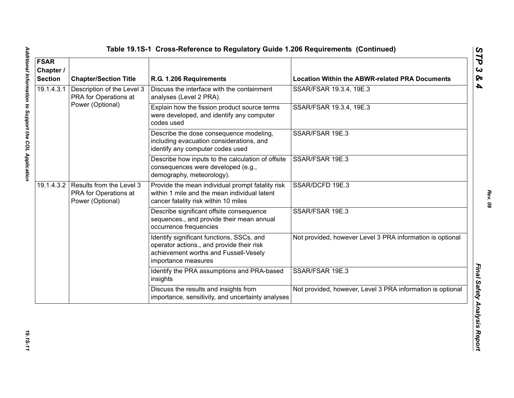| <b>FSAR</b><br>Chapter /<br><b>Section</b> | <b>Chapter/Section Title</b>                                                     | R.G. 1.206 Requirements                                                                                                                                | <b>Location Within the ABWR-related PRA Documents</b>      |
|--------------------------------------------|----------------------------------------------------------------------------------|--------------------------------------------------------------------------------------------------------------------------------------------------------|------------------------------------------------------------|
| 19.1.4.3.1                                 | Description of the Level 3<br>PRA for Operations at                              | Discuss the interface with the containment<br>analyses (Level 2 PRA).                                                                                  | SSAR/FSAR 19.3.4, 19E.3                                    |
|                                            | Power (Optional)                                                                 | Explain how the fission product source terms<br>were developed, and identify any computer<br>codes used                                                | SSAR/FSAR 19.3.4, 19E.3                                    |
|                                            |                                                                                  | Describe the dose consequence modeling,<br>including evacuation considerations, and<br>identify any computer codes used                                | SSAR/FSAR 19E.3                                            |
|                                            |                                                                                  | Describe how inputs to the calculation of offsite<br>consequences were developed (e.g.,<br>demography, meteorology).                                   | SSAR/FSAR 19E.3                                            |
|                                            | 19.1.4.3.2 Results from the Level 3<br>PRA for Operations at<br>Power (Optional) | Provide the mean individual prompt fatality risk<br>within 1 mile and the mean individual latent<br>cancer fatality risk within 10 miles               | SSAR/DCFD 19E.3                                            |
|                                            |                                                                                  | Describe significant offsite consequence<br>sequences., and provide their mean annual<br>occurrence frequencies                                        | SSAR/FSAR 19E.3                                            |
|                                            |                                                                                  | Identify significant functions, SSCs, and<br>operator actions., and provide their risk<br>achievement worths and Fussell-Vesely<br>importance measures | Not provided, however Level 3 PRA information is optional  |
|                                            |                                                                                  | Identify the PRA assumptions and PRA-based<br>insights                                                                                                 | SSAR/FSAR 19E.3                                            |
|                                            |                                                                                  | Discuss the results and insights from<br>importance, sensitivity, and uncertainty analyses                                                             | Not provided, however, Level 3 PRA information is optional |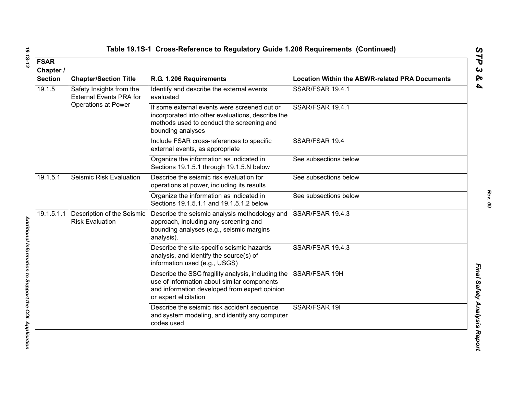|  | Table 19.1S-1  Cross-Reference to Regulatory Guide 1.206 Requirements  (Continueo |  |  |  |  |
|--|-----------------------------------------------------------------------------------|--|--|--|--|
|--|-----------------------------------------------------------------------------------|--|--|--|--|

| <b>FSAR</b>                                           |                                                            |                                                                                                                                                                             |                                                       |
|-------------------------------------------------------|------------------------------------------------------------|-----------------------------------------------------------------------------------------------------------------------------------------------------------------------------|-------------------------------------------------------|
| Chapter /<br><b>Section</b>                           | <b>Chapter/Section Title</b>                               | R.G. 1.206 Requirements                                                                                                                                                     | <b>Location Within the ABWR-related PRA Documents</b> |
| 19.1.5                                                | Safety Insights from the<br><b>External Events PRA for</b> | Identify and describe the external events<br>evaluated                                                                                                                      | SSAR/FSAR 19.4.1                                      |
|                                                       | <b>Operations at Power</b>                                 | If some external events were screened out or<br>incorporated into other evaluations, describe the<br>methods used to conduct the screening and<br>bounding analyses         | SSAR/FSAR 19.4.1                                      |
|                                                       |                                                            | Include FSAR cross-references to specific<br>external events, as appropriate                                                                                                | SSAR/FSAR 19.4                                        |
|                                                       |                                                            | Organize the information as indicated in<br>Sections 19.1.5.1 through 19.1.5.N below                                                                                        | See subsections below                                 |
| 19.1.5.1                                              | Seismic Risk Evaluation                                    | Describe the seismic risk evaluation for<br>operations at power, including its results                                                                                      | See subsections below                                 |
|                                                       |                                                            | Organize the information as indicated in<br>Sections 19.1.5.1.1 and 19.1.5.1.2 below                                                                                        | See subsections below                                 |
| 19.1.5.1.1                                            | Description of the Seismic<br><b>Risk Evaluation</b>       | Describe the seismic analysis methodology and<br>approach, including any screening and<br>bounding analyses (e.g., seismic margins<br>analysis).                            | SSAR/FSAR 19.4.3                                      |
| Additional Information to Support the COL Application |                                                            | Describe the site-specific seismic hazards<br>analysis, and identify the source(s) of<br>information used (e.g., USGS)                                                      | SSAR/FSAR 19.4.3                                      |
|                                                       |                                                            | Describe the SSC fragility analysis, including the<br>use of information about similar components<br>and information developed from expert opinion<br>or expert elicitation | SSAR/FSAR 19H                                         |
|                                                       |                                                            | Describe the seismic risk accident sequence<br>and system modeling, and identify any computer<br>codes used                                                                 | SSAR/FSAR 19I                                         |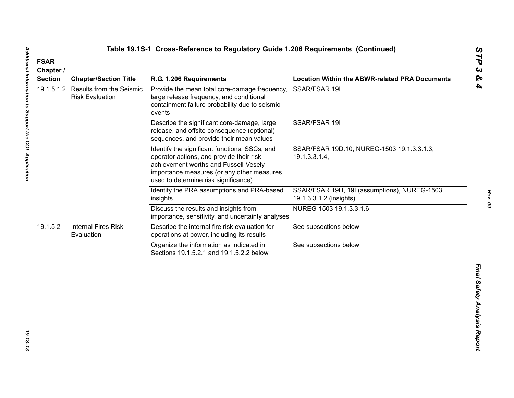| <b>FSAR</b><br>Chapter /<br><b>Section</b> | <b>Chapter/Section Title</b>                              | R.G. 1.206 Requirements                                                                                                                                                                                                   | <b>Location Within the ABWR-related PRA Documents</b>                   |
|--------------------------------------------|-----------------------------------------------------------|---------------------------------------------------------------------------------------------------------------------------------------------------------------------------------------------------------------------------|-------------------------------------------------------------------------|
| 19.1.5.1.2                                 | <b>Results from the Seismic</b><br><b>Risk Evaluation</b> | Provide the mean total core-damage frequency,<br>large release frequency, and conditional<br>containment failure probability due to seismic<br>events                                                                     | SSAR/FSAR 19I                                                           |
|                                            |                                                           | Describe the significant core-damage, large<br>release, and offsite consequence (optional)<br>sequences, and provide their mean values                                                                                    | SSAR/FSAR 19I                                                           |
|                                            |                                                           | Identify the significant functions, SSCs, and<br>operator actions, and provide their risk<br>achievement worths and Fussell-Vesely<br>importance measures (or any other measures<br>used to determine risk significance). | SSAR/FSAR 19D.10, NUREG-1503 19.1.3.3.1.3,<br>19.1.3.3.1.4,             |
|                                            |                                                           | Identify the PRA assumptions and PRA-based<br>insights                                                                                                                                                                    | SSAR/FSAR 19H, 19I (assumptions), NUREG-1503<br>19.1.3.3.1.2 (insights) |
|                                            |                                                           | Discuss the results and insights from<br>importance, sensitivity, and uncertainty analyses                                                                                                                                | NUREG-1503 19.1.3.3.1.6                                                 |
| 19.1.5.2                                   | <b>Internal Fires Risk</b><br>Evaluation                  | Describe the internal fire risk evaluation for<br>operations at power, including its results                                                                                                                              | See subsections below                                                   |
|                                            |                                                           | Organize the information as indicated in<br>Sections 19.1.5.2.1 and 19.1.5.2.2 below                                                                                                                                      | See subsections below                                                   |
|                                            |                                                           |                                                                                                                                                                                                                           |                                                                         |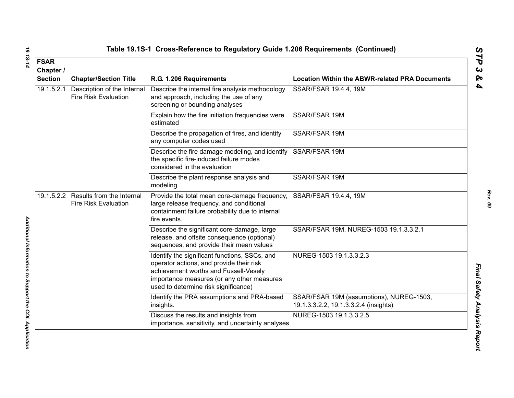| <b>FSAR</b><br>Chapter /<br><b>Section</b> | <b>Chapter/Section Title</b>                               | R.G. 1.206 Requirements                                                                                                                                                                                                  | <b>Location Within the ABWR-related PRA Documents</b>                             |
|--------------------------------------------|------------------------------------------------------------|--------------------------------------------------------------------------------------------------------------------------------------------------------------------------------------------------------------------------|-----------------------------------------------------------------------------------|
| 19.1.5.2.1                                 | Description of the Internal<br><b>Fire Risk Evaluation</b> | Describe the internal fire analysis methodology<br>and approach, including the use of any<br>screening or bounding analyses                                                                                              | SSAR/FSAR 19.4.4, 19M                                                             |
|                                            |                                                            | Explain how the fire initiation frequencies were<br>estimated                                                                                                                                                            | SSAR/FSAR 19M                                                                     |
|                                            |                                                            | Describe the propagation of fires, and identify<br>any computer codes used                                                                                                                                               | SSAR/FSAR 19M                                                                     |
|                                            |                                                            | Describe the fire damage modeling, and identify<br>the specific fire-induced failure modes<br>considered in the evaluation                                                                                               | SSAR/FSAR 19M                                                                     |
|                                            |                                                            | Describe the plant response analysis and<br>modeling                                                                                                                                                                     | SSAR/FSAR 19M                                                                     |
| 19.1.5.2.2                                 | Results from the Internal<br><b>Fire Risk Evaluation</b>   | Provide the total mean core-damage frequency,<br>large release frequency, and conditional<br>containment failure probability due to internal<br>fire events.                                                             | SSAR/FSAR 19.4.4, 19M                                                             |
|                                            |                                                            | Describe the significant core-damage, large<br>release, and offsite consequence (optional)<br>sequences, and provide their mean values                                                                                   | SSAR/FSAR 19M, NUREG-1503 19.1.3.3.2.1                                            |
|                                            |                                                            | Identify the significant functions, SSCs, and<br>operator actions, and provide their risk<br>achievement worths and Fussell-Vesely<br>importance measures (or any other measures<br>used to determine risk significance) | NUREG-1503 19.1.3.3.2.3                                                           |
|                                            |                                                            | Identify the PRA assumptions and PRA-based<br>insights.                                                                                                                                                                  | SSAR/FSAR 19M (assumptions), NUREG-1503,<br>19.1.3.3.2.2, 19.1.3.3.2.4 (insights) |
|                                            |                                                            | Discuss the results and insights from<br>importance, sensitivity, and uncertainty analyses                                                                                                                               | NUREG-1503 19.1.3.3.2.5                                                           |

Additional Information to Support the COL Application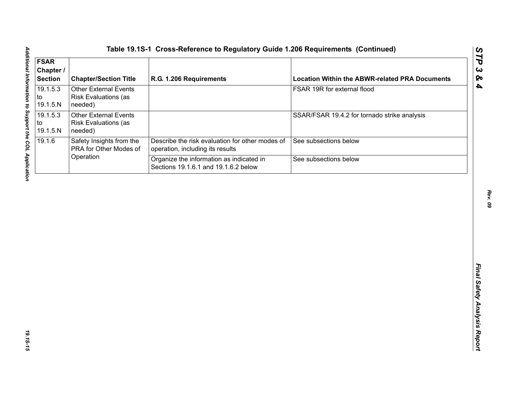| <b>FSAR</b><br>Chapter /<br><b>Section</b> | <b>Chapter/Section Title</b>                                           | R.G. 1.206 Requirements                                                             | <b>Location Within the ABWR-related PRA Documents</b> |
|--------------------------------------------|------------------------------------------------------------------------|-------------------------------------------------------------------------------------|-------------------------------------------------------|
| 19.1.5.3<br>to<br>19.1.5.N                 | <b>Other External Events</b><br>Risk Evaluations (as<br>needed)        |                                                                                     | FSAR 19R for external flood                           |
| 19.1.5.3<br>to<br>19.1.5.N                 | <b>Other External Events</b><br><b>Risk Evaluations (as</b><br>needed) |                                                                                     | SSAR/FSAR 19.4.2 for tornado strike analysis          |
| 19.1.6                                     | Safety Insights from the<br>PRA for Other Modes of                     | Describe the risk evaluation for other modes of<br>operation, including its results | See subsections below                                 |
|                                            | Operation                                                              | Organize the information as indicated in<br>Sections 19.1.6.1 and 19.1.6.2 below    | See subsections below                                 |
|                                            |                                                                        |                                                                                     |                                                       |
|                                            |                                                                        |                                                                                     |                                                       |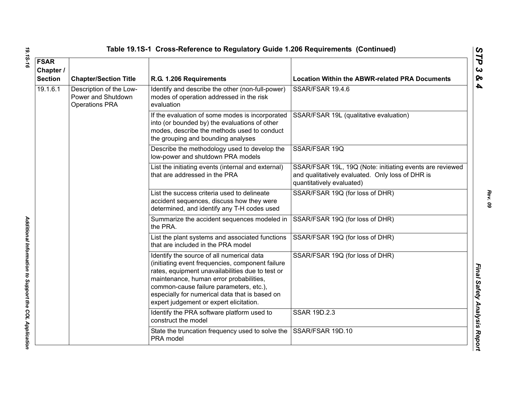| <b>FSAR</b><br>Chapter /<br><b>Section</b> | <b>Chapter/Section Title</b>                                           | R.G. 1.206 Requirements                                                                                                                                                                                                                                                                                                              | <b>Location Within the ABWR-related PRA Documents</b>                                                                                     |
|--------------------------------------------|------------------------------------------------------------------------|--------------------------------------------------------------------------------------------------------------------------------------------------------------------------------------------------------------------------------------------------------------------------------------------------------------------------------------|-------------------------------------------------------------------------------------------------------------------------------------------|
| 19.1.6.1                                   | Description of the Low-<br>Power and Shutdown<br><b>Operations PRA</b> | Identify and describe the other (non-full-power)<br>modes of operation addressed in the risk<br>evaluation                                                                                                                                                                                                                           | SSAR/FSAR 19.4.6                                                                                                                          |
|                                            |                                                                        | If the evaluation of some modes is incorporated<br>into (or bounded by) the evaluations of other<br>modes, describe the methods used to conduct<br>the grouping and bounding analyses                                                                                                                                                | SSAR/FSAR 19L (qualitative evaluation)                                                                                                    |
|                                            |                                                                        | Describe the methodology used to develop the<br>low-power and shutdown PRA models                                                                                                                                                                                                                                                    | SSAR/FSAR 19Q                                                                                                                             |
|                                            |                                                                        | List the initiating events (internal and external)<br>that are addressed in the PRA                                                                                                                                                                                                                                                  | SSAR/FSAR 19L, 19Q (Note: initiating events are reviewed<br>and qualitatively evaluated. Only loss of DHR is<br>quantitatively evaluated) |
|                                            |                                                                        | List the success criteria used to delineate<br>accident sequences, discuss how they were<br>determined, and identify any T-H codes used                                                                                                                                                                                              | SSAR/FSAR 19Q (for loss of DHR)                                                                                                           |
|                                            |                                                                        | Summarize the accident sequences modeled in<br>the PRA.                                                                                                                                                                                                                                                                              | SSAR/FSAR 19Q (for loss of DHR)                                                                                                           |
|                                            |                                                                        | List the plant systems and associated functions<br>that are included in the PRA model                                                                                                                                                                                                                                                | SSAR/FSAR 19Q (for loss of DHR)                                                                                                           |
|                                            |                                                                        | Identify the source of all numerical data<br>(initiating event frequencies, component failure<br>rates, equipment unavailabilities due to test or<br>maintenance, human error probabilities,<br>common-cause failure parameters, etc.),<br>especially for numerical data that is based on<br>expert judgement or expert elicitation. | SSAR/FSAR 19Q (for loss of DHR)                                                                                                           |
|                                            |                                                                        | Identify the PRA software platform used to<br>construct the model                                                                                                                                                                                                                                                                    | <b>SSAR 19D.2.3</b>                                                                                                                       |
|                                            |                                                                        | State the truncation frequency used to solve the<br>PRA model                                                                                                                                                                                                                                                                        | SSAR/FSAR 19D.10                                                                                                                          |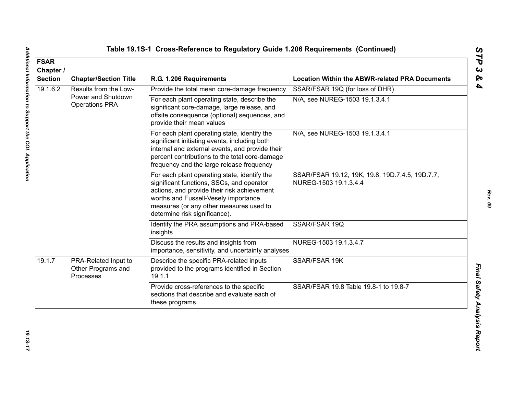| <b>FSAR</b><br>Chapter /<br><b>Section</b> | <b>Chapter/Section Title</b>                            | R.G. 1.206 Requirements                                                                                                                                                                                                                                      | <b>Location Within the ABWR-related PRA Documents</b>                    |
|--------------------------------------------|---------------------------------------------------------|--------------------------------------------------------------------------------------------------------------------------------------------------------------------------------------------------------------------------------------------------------------|--------------------------------------------------------------------------|
| 19.1.6.2                                   | Results from the Low-                                   | Provide the total mean core-damage frequency                                                                                                                                                                                                                 | SSAR/FSAR 19Q (for loss of DHR)                                          |
|                                            | Power and Shutdown<br><b>Operations PRA</b>             | For each plant operating state, describe the<br>significant core-damage, large release, and<br>offsite consequence (optional) sequences, and<br>provide their mean values                                                                                    | N/A, see NUREG-1503 19.1.3.4.1                                           |
|                                            |                                                         | For each plant operating state, identify the<br>significant initiating events, including both<br>internal and external events, and provide their<br>percent contributions to the total core-damage<br>frequency and the large release frequency              | N/A, see NUREG-1503 19.1.3.4.1                                           |
|                                            |                                                         | For each plant operating state, identify the<br>significant functions, SSCs, and operator<br>actions, and provide their risk achievement<br>worths and Fussell-Vesely importance<br>measures (or any other measures used to<br>determine risk significance). | SSAR/FSAR 19.12, 19K, 19.8, 19D.7.4.5, 19D.7.7,<br>NUREG-1503 19.1.3.4.4 |
|                                            |                                                         | Identify the PRA assumptions and PRA-based<br>insights                                                                                                                                                                                                       | SSAR/FSAR 19Q                                                            |
|                                            |                                                         | Discuss the results and insights from<br>importance, sensitivity, and uncertainty analyses                                                                                                                                                                   | NUREG-1503 19.1.3.4.7                                                    |
| 19.1.7                                     | PRA-Related Input to<br>Other Programs and<br>Processes | Describe the specific PRA-related inputs<br>provided to the programs identified in Section<br>19.1.1                                                                                                                                                         | SSAR/FSAR 19K                                                            |
|                                            |                                                         | Provide cross-references to the specific<br>sections that describe and evaluate each of<br>these programs.                                                                                                                                                   | SSAR/FSAR 19.8 Table 19.8-1 to 19.8-7                                    |

Additional Information to Support the COL Application

*Rev. 09*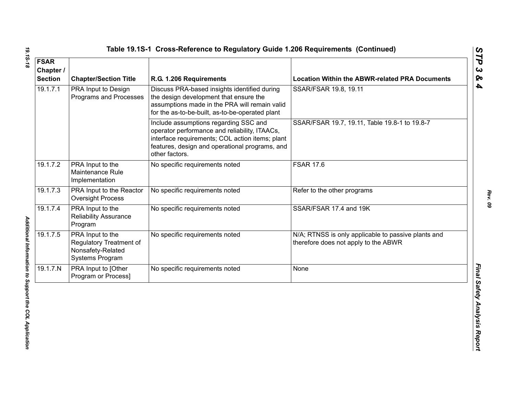| <b>FSAR</b><br>Chapter /<br><b>Section</b> | <b>Chapter/Section Title</b>                                                        | R.G. 1.206 Requirements                                                                                                                                                                                       | <b>Location Within the ABWR-related PRA Documents</b>                                       |
|--------------------------------------------|-------------------------------------------------------------------------------------|---------------------------------------------------------------------------------------------------------------------------------------------------------------------------------------------------------------|---------------------------------------------------------------------------------------------|
| 19.1.7.1                                   | PRA Input to Design<br>Programs and Processes                                       | Discuss PRA-based insights identified during<br>the design development that ensure the<br>assumptions made in the PRA will remain valid<br>for the as-to-be-built, as-to-be-operated plant                    | SSAR/FSAR 19.8, 19.11                                                                       |
|                                            |                                                                                     | Include assumptions regarding SSC and<br>operator performance and reliability, ITAACs,<br>interface requirements; COL action items; plant<br>features, design and operational programs, and<br>other factors. | SSAR/FSAR 19.7, 19.11, Table 19.8-1 to 19.8-7                                               |
| 19.1.7.2                                   | PRA Input to the<br>Maintenance Rule<br>Implementation                              | No specific requirements noted                                                                                                                                                                                | <b>FSAR 17.6</b>                                                                            |
| 19.1.7.3                                   | PRA Input to the Reactor<br><b>Oversight Process</b>                                | No specific requirements noted                                                                                                                                                                                | Refer to the other programs                                                                 |
| 19.1.7.4                                   | PRA Input to the<br><b>Reliability Assurance</b><br>Program                         | No specific requirements noted                                                                                                                                                                                | SSAR/FSAR 17.4 and 19K                                                                      |
| 19.1.7.5                                   | PRA Input to the<br>Regulatory Treatment of<br>Nonsafety-Related<br>Systems Program | No specific requirements noted                                                                                                                                                                                | N/A; RTNSS is only applicable to passive plants and<br>therefore does not apply to the ABWR |
| 19.1.7.N                                   | PRA Input to [Other<br>Program or Process]                                          | No specific requirements noted                                                                                                                                                                                | None                                                                                        |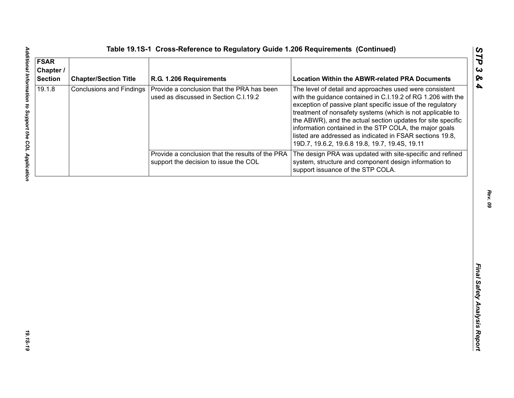| <b>FSAR</b><br>Chapter /<br><b>Section</b> | <b>Chapter/Section Title</b>    | R.G. 1.206 Requirements                                                                   | <b>Location Within the ABWR-related PRA Documents</b>                                                                                                                                                                                                                                                                                                                                                                                                                                       |
|--------------------------------------------|---------------------------------|-------------------------------------------------------------------------------------------|---------------------------------------------------------------------------------------------------------------------------------------------------------------------------------------------------------------------------------------------------------------------------------------------------------------------------------------------------------------------------------------------------------------------------------------------------------------------------------------------|
| 19.1.8                                     | <b>Conclusions and Findings</b> | Provide a conclusion that the PRA has been<br>used as discussed in Section C.I.19.2       | The level of detail and approaches used were consistent<br>with the guidance contained in C.I.19.2 of RG 1.206 with the<br>exception of passive plant specific issue of the regulatory<br>treatment of nonsafety systems (which is not applicable to<br>the ABWR), and the actual section updates for site specific<br>information contained in the STP COLA, the major goals<br>listed are addressed as indicated in FSAR sections 19.8,<br>19D.7, 19.6.2, 19.6.8 19.8, 19.7, 19.4S, 19.11 |
|                                            |                                 | Provide a conclusion that the results of the PRA<br>support the decision to issue the COL | The design PRA was updated with site-specific and refined<br>system, structure and component design information to<br>support issuance of the STP COLA.                                                                                                                                                                                                                                                                                                                                     |
|                                            |                                 |                                                                                           |                                                                                                                                                                                                                                                                                                                                                                                                                                                                                             |
|                                            |                                 |                                                                                           |                                                                                                                                                                                                                                                                                                                                                                                                                                                                                             |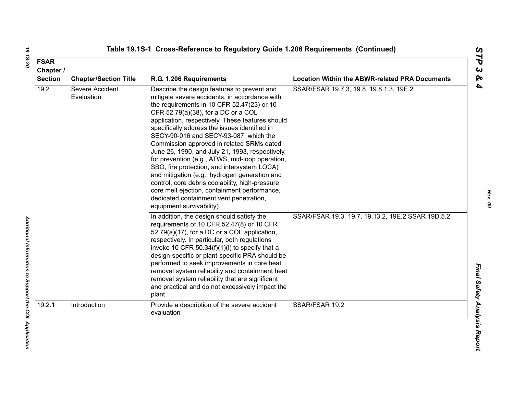| <b>FSAR</b><br>Chapter /<br><b>Section</b> | <b>Chapter/Section Title</b>  | R.G. 1.206 Requirements                                                                                                                                                                                                                                                                                                                                                                                                                                                                                                                                                                                                                                                                                                                                        | <b>Location Within the ABWR-related PRA Documents</b> |
|--------------------------------------------|-------------------------------|----------------------------------------------------------------------------------------------------------------------------------------------------------------------------------------------------------------------------------------------------------------------------------------------------------------------------------------------------------------------------------------------------------------------------------------------------------------------------------------------------------------------------------------------------------------------------------------------------------------------------------------------------------------------------------------------------------------------------------------------------------------|-------------------------------------------------------|
| 19.2                                       | Severe Accident<br>Evaluation | Describe the design features to prevent and<br>mitigate severe accidents, in accordance with<br>the requirements in 10 CFR 52.47(23) or 10<br>CFR 52.79(a)(38), for a DC or a COL<br>application, respectively. These features should<br>specifically address the issues identified in<br>SECY-90-016 and SECY-93-087, which the<br>Commission approved in related SRMs dated<br>June 26, 1990, and July 21, 1993, respectively,<br>for prevention (e.g., ATWS, mid-loop operation,<br>SBO, fire protection, and intersystem LOCA)<br>and mitigation (e.g., hydrogen generation and<br>control, core debris coolability, high-pressure<br>core melt ejection, containment performance,<br>dedicated containment vent penetration,<br>equipment survivability). | SSAR/FSAR 19.7.3, 19.8, 19.8.1.3, 19E.2               |
|                                            |                               | In addition, the design should satisfy the<br>requirements of 10 CFR 52.47(8) or 10 CFR<br>52.79(a)(17), for a DC or a COL application,<br>respectively. In particular, both regulations<br>invoke 10 CFR 50.34(f)(1)(i) to specify that a<br>design-specific or plant-specific PRA should be<br>performed to seek improvements in core heat<br>removal system reliability and containment heat<br>removal system reliability that are significant<br>and practical and do not excessively impact the<br>plant                                                                                                                                                                                                                                                 | SSAR/FSAR 19.3, 19.7, 19.13.2, 19E.2 SSAR 19D.5.2     |
| 19.2.1                                     | Introduction                  | Provide a description of the severe accident<br>evaluation                                                                                                                                                                                                                                                                                                                                                                                                                                                                                                                                                                                                                                                                                                     | SSAR/FSAR 19.2                                        |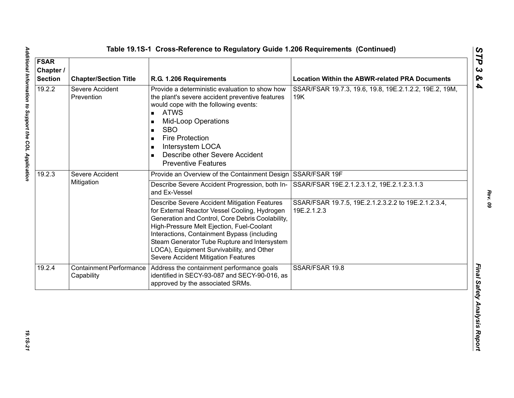| <b>FSAR</b><br>Chapter /<br><b>Section</b> | <b>Chapter/Section Title</b>                 | R.G. 1.206 Requirements                                                                                                                                                                                                                                                                                                                                                           | <b>Location Within the ABWR-related PRA Documents</b>              |
|--------------------------------------------|----------------------------------------------|-----------------------------------------------------------------------------------------------------------------------------------------------------------------------------------------------------------------------------------------------------------------------------------------------------------------------------------------------------------------------------------|--------------------------------------------------------------------|
| 19.2.2                                     | Severe Accident<br>Prevention                | Provide a deterministic evaluation to show how<br>the plant's severe accident preventive features<br>would cope with the following events:<br><b>ATWS</b><br>$\blacksquare$<br><b>Mid-Loop Operations</b><br><b>SBO</b><br><b>Fire Protection</b><br>Intersystem LOCA<br>Describe other Severe Accident<br><b>Preventive Features</b>                                             | SSAR/FSAR 19.7.3, 19.6, 19.8, 19E.2.1.2.2, 19E.2, 19M,<br>19K      |
| 19.2.3                                     | Severe Accident<br>Mitigation                | Provide an Overview of the Containment Design SSAR/FSAR 19F                                                                                                                                                                                                                                                                                                                       |                                                                    |
|                                            |                                              | Describe Severe Accident Progression, both In-<br>and Ex-Vessel                                                                                                                                                                                                                                                                                                                   | SSAR/FSAR 19E.2.1.2.3.1.2, 19E.2.1.2.3.1.3                         |
|                                            |                                              | Describe Severe Accident Mitigation Features<br>for External Reactor Vessel Cooling, Hydrogen<br>Generation and Control, Core Debris Coolability,<br>High-Pressure Melt Ejection, Fuel-Coolant<br>Interactions, Containment Bypass (including<br>Steam Generator Tube Rupture and Intersystem<br>LOCA), Equipment Survivability, and Other<br>Severe Accident Mitigation Features | SSAR/FSAR 19.7.5, 19E.2.1.2.3.2.2 to 19E.2.1.2.3.4,<br>19E.2.1.2.3 |
| 19.2.4                                     | <b>Containment Performance</b><br>Capability | Address the containment performance goals<br>identified in SECY-93-087 and SECY-90-016, as<br>approved by the associated SRMs.                                                                                                                                                                                                                                                    | SSAR/FSAR 19.8                                                     |

*Rev. 09*

19.15-21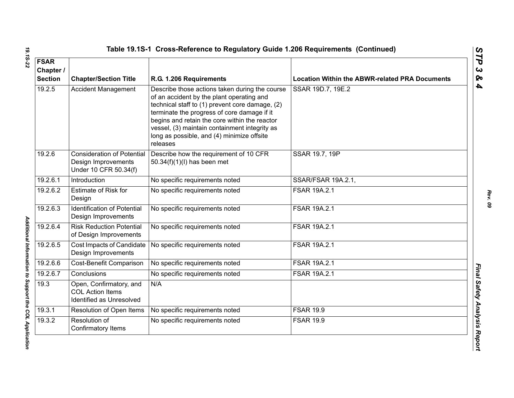| <b>FSAR</b><br>Chapter /<br><b>Section</b> | <b>Chapter/Section Title</b>                                                      | R.G. 1.206 Requirements                                                                                                                                                                                                                                                                                                                                   | <b>Location Within the ABWR-related PRA Documents</b> |
|--------------------------------------------|-----------------------------------------------------------------------------------|-----------------------------------------------------------------------------------------------------------------------------------------------------------------------------------------------------------------------------------------------------------------------------------------------------------------------------------------------------------|-------------------------------------------------------|
| 19.2.5                                     | <b>Accident Management</b>                                                        | Describe those actions taken during the course<br>of an accident by the plant operating and<br>technical staff to (1) prevent core damage, (2)<br>terminate the progress of core damage if it<br>begins and retain the core within the reactor<br>vessel, (3) maintain containment integrity as<br>long as possible, and (4) minimize offsite<br>releases | SSAR 19D.7, 19E.2                                     |
| 19.2.6                                     | <b>Consideration of Potential</b><br>Design Improvements<br>Under 10 CFR 50.34(f) | Describe how the requirement of 10 CFR<br>50.34(f)(1)(l) has been met                                                                                                                                                                                                                                                                                     | SSAR 19.7, 19P                                        |
| 19.2.6.1                                   | Introduction                                                                      | No specific requirements noted                                                                                                                                                                                                                                                                                                                            | SSAR/FSAR 19A.2.1,                                    |
| 19.2.6.2                                   | <b>Estimate of Risk for</b><br>Design                                             | No specific requirements noted                                                                                                                                                                                                                                                                                                                            | FSAR 19A.2.1                                          |
| 19.2.6.3                                   | <b>Identification of Potential</b><br>Design Improvements                         | No specific requirements noted                                                                                                                                                                                                                                                                                                                            | FSAR 19A.2.1                                          |
| 19.2.6.4                                   | <b>Risk Reduction Potential</b><br>of Design Improvements                         | No specific requirements noted                                                                                                                                                                                                                                                                                                                            | <b>FSAR 19A.2.1</b>                                   |
| 19.2.6.5                                   | Cost Impacts of Candidate<br>Design Improvements                                  | No specific requirements noted                                                                                                                                                                                                                                                                                                                            | FSAR 19A.2.1                                          |
| 19.2.6.6                                   | Cost-Benefit Comparison                                                           | No specific requirements noted                                                                                                                                                                                                                                                                                                                            | <b>FSAR 19A.2.1</b>                                   |
| 19.2.6.7                                   | Conclusions                                                                       | No specific requirements noted                                                                                                                                                                                                                                                                                                                            | <b>FSAR 19A.2.1</b>                                   |
| 19.3                                       | Open, Confirmatory, and<br><b>COL Action Items</b><br>Identified as Unresolved    | N/A                                                                                                                                                                                                                                                                                                                                                       |                                                       |
| 19.3.1                                     | Resolution of Open Items                                                          | No specific requirements noted                                                                                                                                                                                                                                                                                                                            | <b>FSAR 19.9</b>                                      |
| 19.3.2                                     | Resolution of<br>Confirmatory Items                                               | No specific requirements noted                                                                                                                                                                                                                                                                                                                            | <b>FSAR 19.9</b>                                      |

Additional Information to Support the COL Application